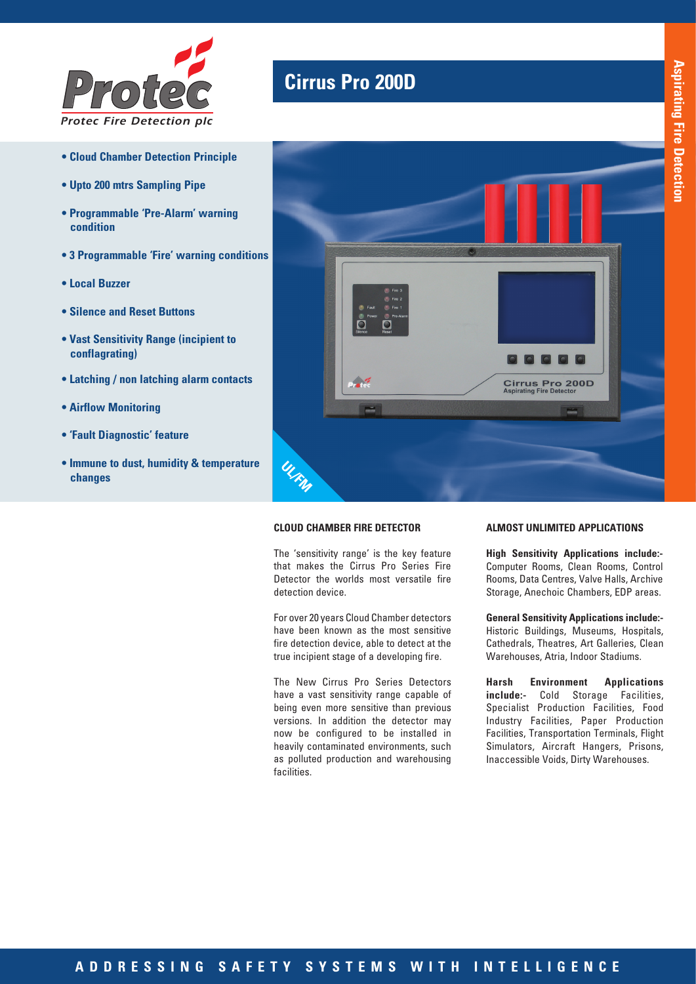

- **Cloud Chamber Detection Principle**
- **Upto 200 mtrs Sampling Pipe**
- **Programmable 'Pre-Alarm' warning condition**
- **3 Programmable 'Fire' warning conditions**
- **Local Buzzer**
- **Silence and Reset Buttons**
- **Vast Sensitivity Range (incipient to conflagrating)**
- **Latching / non latching alarm contacts**
- **Airflow Monitoring**
- **'Fault Diagnostic' feature**
- **Immune to dust, humidity & temperature changes**

## **Cirrus Pro 200D**



### **CLOUD CHAMBER FIRE DETECTOR**

The 'sensitivity range' is the key feature that makes the Cirrus Pro Series Fire Detector the worlds most versatile fire detection device.

For over 20 years Cloud Chamber detectors have been known as the most sensitive fire detection device, able to detect at the true incipient stage of a developing fire.

The New Cirrus Pro Series Detectors have a vast sensitivity range capable of being even more sensitive than previous versions. In addition the detector may now be configured to be installed in heavily contaminated environments, such as polluted production and warehousing facilities.

#### **ALMOST UNLIMITED APPLICATIONS**

**High Sensitivity Applications include:-** Computer Rooms, Clean Rooms, Control Rooms, Data Centres, Valve Halls, Archive Storage, Anechoic Chambers, EDP areas.

**General Sensitivity Applications include:-**  Historic Buildings, Museums, Hospitals, Cathedrals, Theatres, Art Galleries, Clean Warehouses, Atria, Indoor Stadiums.

**Harsh Environment Applications include:-** Cold Storage Facilities, Specialist Production Facilities, Food Industry Facilities, Paper Production Facilities, Transportation Terminals, Flight Simulators, Aircraft Hangers, Prisons, Inaccessible Voids, Dirty Warehouses.